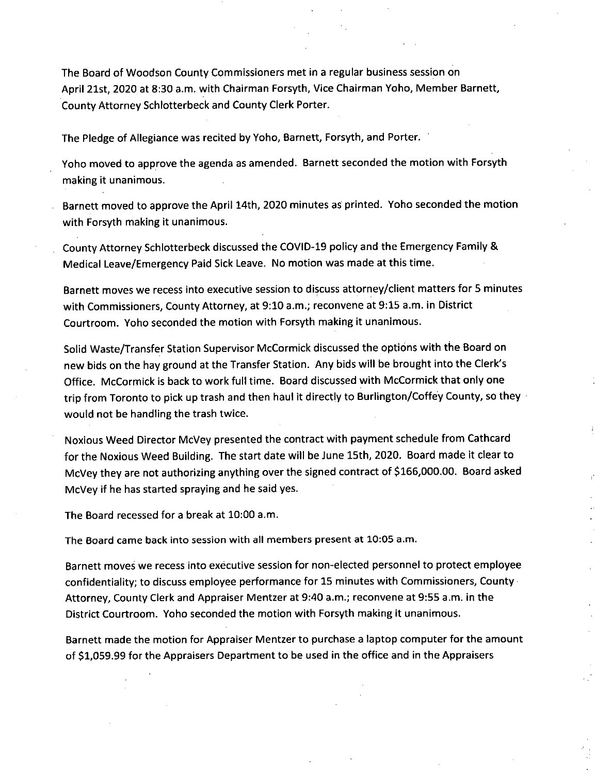The Board of Woodson County Commissioners met in a regular business session on April 21st, 2020 at 8:30 a.m. with Chairman Forsyth, Vice Chairman Yoho, Member Barnett, County Attorney Schlotterbeck and County Clerk Porter.

The Pledge of Allegiance was recited by Yoho, Barnett, Forsyth, and Porter.

Yoho moved to approve the agenda as amended. Barnett seconded the motion with Forsyth making it unanimous.

Barnett moved to approve the April 14th, 2020 minutes as printed. Yoho seconded the motion with Forsyth making it unanimous.

County Attorney Schlotterbeck discussed the COVID-19 policy and the Emergency Family & Medical Leave/Emergency Paid Sick Leave. No motion was made at this time.

Barnett moves we recess into executive session to discuss attorney/client matters for 5 minutes with Commissioners, County Attorney, at 9:10 a.m.; reconvene at 9:15 a.m. in District Courtroom. Yoho seconded the motion with Forsyth making it unanimous.

Solid Waste/Transfer Station Supervisor McCormick discussed the options with the Board on new bids on the hay ground at the Transfer Station. Any bids will be brought into the Clerk's Office. McCormick is back to work full time. Board discussed with McCormick that only one trip from Toronto to pick up trash and then haul it directly to Burlington/Coffey County, so they would not be handling the trash twice.

Noxious Weed Director McVey presented the contract with payment schedule from Cathcard for the Noxious Weed Building. The start date will be June 15th, 2020. Board made it clear to McVey they are not authorizing anything over the signed contract of \$166,000.00. Board asked McVey if he has started spraying and he said yes.

The Board recessed for a break at 10:00 a.m.

The Board came back into session with all members present at 10:05 a.m.

Barnett moves we recess into executive session for non-elected personnel to protect employee confidentiality; to discuss employee performance for 15 minutes with Commissioners, County• Attorney, County Clerk and Appraiser Mentzer at 9:40 a.m.; reconvene at 9:55 a.m. in the District Courtroom. Yoho seconded the motion with Forsyth making it unanimous.

Barnett made the motion for Appraiser Mentzer to purchase a laptop computer for the amount of \$1,059.99 for the Appraisers Department to be used in the office and in the Appraisers